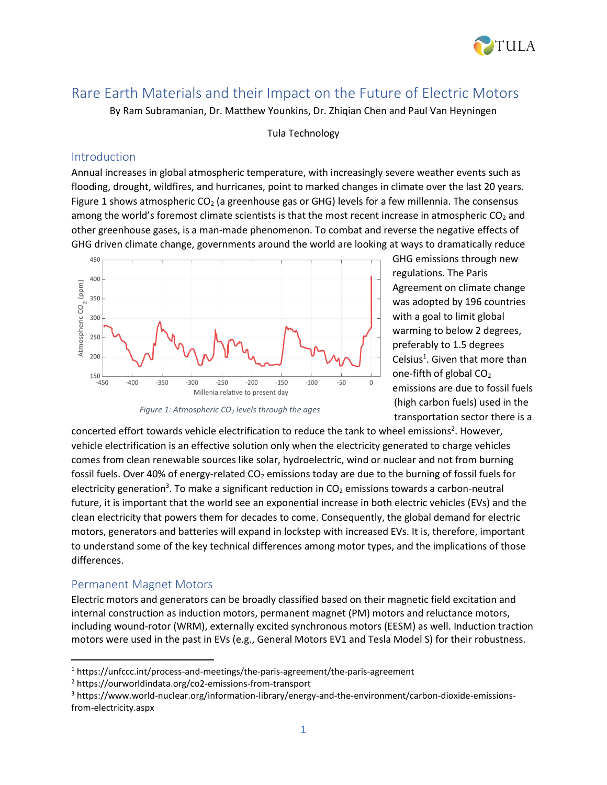

# Rare Earth Materials and their Impact on the Future of Electric Motors

By Ram Subramanian, Dr. Matthew Younkins, Dr. Zhiqian Chen and Paul Van Heyningen

Tula Technology

#### Introduction

Annual increases in global atmospheric temperature, with increasingly severe weather events such as flooding, drought, wildfires, and hurricanes, point to marked changes in climate over the last 20 years. Figure 1 shows atmospheric  $CO<sub>2</sub>$  (a greenhouse gas or GHG) levels for a few millennia. The consensus among the world's foremost climate scientists is that the most recent increase in atmospheric  $CO<sub>2</sub>$  and other greenhouse gases, is a man-made phenomenon. To combat and reverse the negative effects of GHG driven climate change, governments around the world are looking at ways to dramatically reduce



*Figure 1: Atmospheric CO<sup>2</sup> levels through the ages*

GHG emissions through new regulations. The Paris Agreement on climate change was adopted by 196 countries with a goal to limit global warming to below 2 degrees, preferably to 1.5 degrees Celsius<sup>1</sup>. Given that more than one-fifth of global  $CO<sub>2</sub>$ emissions are due to fossil fuels (high carbon fuels) used in the transportation sector there is a

concerted effort towards vehicle electrification to reduce the tank to wheel emissions<sup>2</sup>. However, vehicle electrification is an effective solution only when the electricity generated to charge vehicles comes from clean renewable sources like solar, hydroelectric, wind or nuclear and not from burning fossil fuels. Over 40% of energy-related CO<sub>2</sub> emissions today are due to the burning of fossil fuels for electricity generation<sup>3</sup>. To make a significant reduction in CO<sub>2</sub> emissions towards a carbon-neutral future, it is important that the world see an exponential increase in both electric vehicles (EVs) and the clean electricity that powers them for decades to come. Consequently, the global demand for electric motors, generators and batteries will expand in lockstep with increased EVs. It is, therefore, important to understand some of the key technical differences among motor types, and the implications of those differences.

### Permanent Magnet Motors

Electric motors and generators can be broadly classified based on their magnetic field excitation and internal construction as induction motors, permanent magnet (PM) motors and reluctance motors, including wound-rotor (WRM), externally excited synchronous motors (EESM) as well. Induction traction motors were used in the past in EVs (e.g., General Motors EV1 and Tesla Model S) for their robustness.

<sup>&</sup>lt;sup>1</sup> https://unfccc.int/process-and-meetings/the-paris-agreement/the-paris-agreement

<sup>2</sup> https://ourworldindata.org/co2-emissions-from-transport

<sup>3</sup> https://www.world-nuclear.org/information-library/energy-and-the-environment/carbon-dioxide-emissionsfrom-electricity.aspx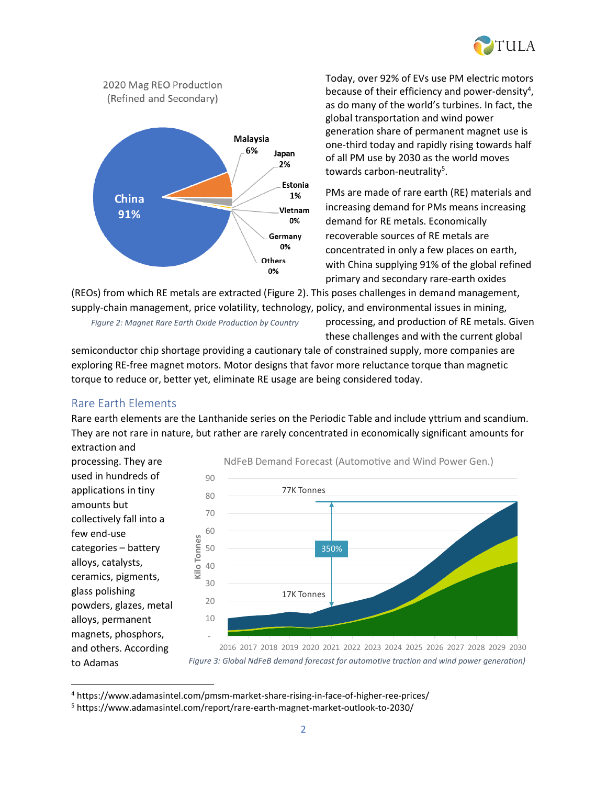



Today, over 92% of EVs use PM electric motors because of their efficiency and power-density<sup>4</sup>, as do many of the world's turbines. In fact, the global transportation and wind power generation share of permanent magnet use is one-third today and rapidly rising towards half of all PM use by 2030 as the world moves towards carbon-neutrality<sup>5</sup>.

PMs are made of rare earth (RE) materials and increasing demand for PMs means increasing demand for RE metals. Economically recoverable sources of RE metals are concentrated in only a few places on earth, with China supplying 91% of the global refined primary and secondary rare-earth oxides

(REOs) from which RE metals are extracted (Figure 2). This poses challenges in demand management, supply-chain management, price volatility, technology, policy, and environmental issues in mining,

*Figure 2: Magnet Rare Earth Oxide Production by Country*

processing, and production of RE metals. Given these challenges and with the current global

semiconductor chip shortage providing a cautionary tale of constrained supply, more companies are exploring RE-free magnet motors. Motor designs that favor more reluctance torque than magnetic torque to reduce or, better yet, eliminate RE usage are being considered today.

### Rare Earth Elements

Rare earth elements are the Lanthanide series on the Periodic Table and include yttrium and scandium. They are not rare in nature, but rather are rarely concentrated in economically significant amounts for extraction and

processing. They are used in hundreds of applications in tiny amounts but collectively fall into a few end-use categories – battery alloys, catalysts, ceramics, pigments, glass polishing powders, glazes, metal alloys, permanent magnets, phosphors, and others. According to Adamas



2016 2017 2018 2019 2020 2021 2022 2023 2024 2025 2026 2027 2028 2029 2030 assenger ra on otors ommer al ra on otors nd ower enerators *Figure 3: Global NdFeB demand forecast for automotive traction and wind power generation)*

<sup>4</sup> https://www.adamasintel.com/pmsm-market-share-rising-in-face-of-higher-ree-prices/

<sup>5</sup> https://www.adamasintel.com/report/rare-earth-magnet-market-outlook-to-2030/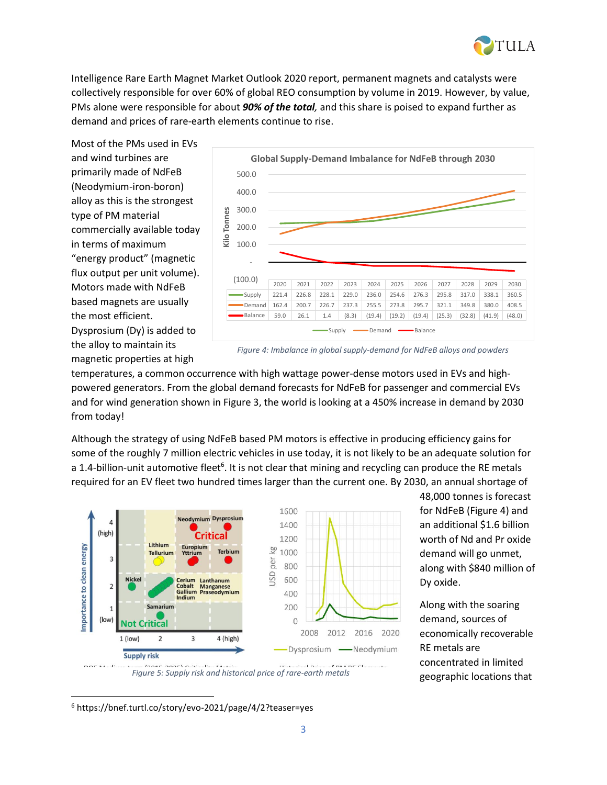

Intelligence Rare Earth Magnet Market Outlook 2020 report, permanent magnets and catalysts were collectively responsible for over 60% of global REO consumption by volume in 2019. However, by value, PMs alone were responsible for about *90% of the total,* and this share is poised to expand further as demand and prices of rare-earth elements continue to rise.

Most of the PMs used in EVs and wind turbines are primarily made of NdFeB (Neodymium-iron-boron) alloy as this is the strongest type of PM material commercially available today in terms of maximum "energy product" (magnetic flux output per unit volume). Motors made with NdFeB based magnets are usually the most efficient. Dysprosium (Dy) is added to the alloy to maintain its magnetic properties at high



*Figure 4: Imbalance in global supply-demand for NdFeB alloys and powders*

temperatures, a common occurrence with high wattage power-dense motors used in EVs and highpowered generators. From the global demand forecasts for NdFeB for passenger and commercial EVs and for wind generation shown in Figure 3, the world is looking at a 450% increase in demand by 2030 from today!

Although the strategy of using NdFeB based PM motors is effective in producing efficiency gains for some of the roughly 7 million electric vehicles in use today, it is not likely to be an adequate solution for a 1.4-billion-unit automotive fleet<sup>6</sup>. It is not clear that mining and recycling can produce the RE metals required for an EV fleet two hundred times larger than the current one. By 2030, an annual shortage of



*Figure 5: Supply risk and historical price of rare-earth metals*

48,000 tonnes is forecast for NdFeB (Figure 4) and an additional \$1.6 billion worth of Nd and Pr oxide demand will go unmet, along with \$840 million of Dy oxide.

Along with the soaring demand, sources of economically recoverable RE metals are concentrated in limited geographic locations that

<sup>6</sup> https://bnef.turtl.co/story/evo-2021/page/4/2?teaser=yes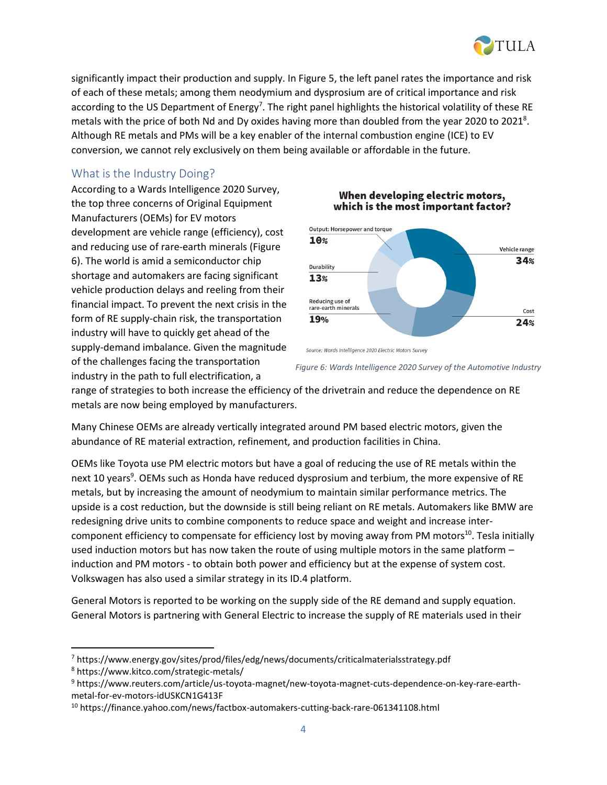

significantly impact their production and supply. In Figure 5, the left panel rates the importance and risk of each of these metals; among them neodymium and dysprosium are of critical importance and risk according to the US Department of Energy<sup>7</sup>. The right panel highlights the historical volatility of these RE metals with the price of both Nd and Dy oxides having more than doubled from the year 2020 to 2021<sup>8</sup>. Although RE metals and PMs will be a key enabler of the internal combustion engine (ICE) to EV conversion, we cannot rely exclusively on them being available or affordable in the future.

### What is the Industry Doing?

According to a Wards Intelligence 2020 Survey, the top three concerns of Original Equipment Manufacturers (OEMs) for EV motors development are vehicle range (efficiency), cost and reducing use of rare-earth minerals (Figure 6). The world is amid a semiconductor chip shortage and automakers are facing significant vehicle production delays and reeling from their financial impact. To prevent the next crisis in the form of RE supply-chain risk, the transportation industry will have to quickly get ahead of the supply-demand imbalance. Given the magnitude of the challenges facing the transportation industry in the path to full electrification, a

#### When developing electric motors, which is the most important factor?



Source: Wards Intelligence 2020 Electric Motors Survey

*Figure 6: Wards Intelligence 2020 Survey of the Automotive Industry*

range of strategies to both increase the efficiency of the drivetrain and reduce the dependence on RE metals are now being employed by manufacturers.

Many Chinese OEMs are already vertically integrated around PM based electric motors, given the abundance of RE material extraction, refinement, and production facilities in China.

OEMs like Toyota use PM electric motors but have a goal of reducing the use of RE metals within the next 10 years<sup>9</sup>. OEMs such as Honda have reduced dysprosium and terbium, the more expensive of RE metals, but by increasing the amount of neodymium to maintain similar performance metrics. The upside is a cost reduction, but the downside is still being reliant on RE metals. Automakers like BMW are redesigning drive units to combine components to reduce space and weight and increase intercomponent efficiency to compensate for efficiency lost by moving away from PM motors<sup>10</sup>. Tesla initially used induction motors but has now taken the route of using multiple motors in the same platform – induction and PM motors - to obtain both power and efficiency but at the expense of system cost. Volkswagen has also used a similar strategy in its ID.4 platform.

General Motors is reported to be working on the supply side of the RE demand and supply equation. General Motors is partnering with General Electric to increase the supply of RE materials used in their

<sup>7</sup> https://www.energy.gov/sites/prod/files/edg/news/documents/criticalmaterialsstrategy.pdf

<sup>8</sup> https://www.kitco.com/strategic-metals/

<sup>9</sup> https://www.reuters.com/article/us-toyota-magnet/new-toyota-magnet-cuts-dependence-on-key-rare-earthmetal-for-ev-motors-idUSKCN1G413F

<sup>10</sup> https://finance.yahoo.com/news/factbox-automakers-cutting-back-rare-061341108.html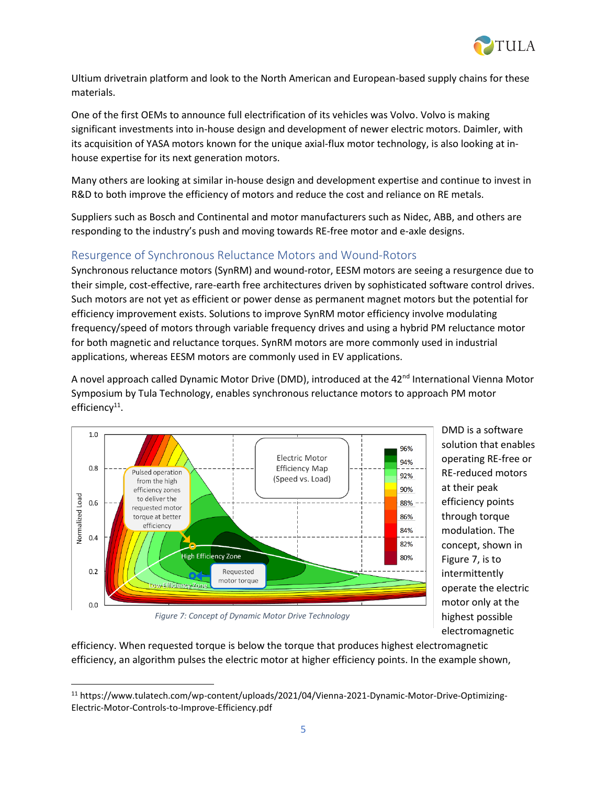

Ultium drivetrain platform and look to the North American and European-based supply chains for these materials.

One of the first OEMs to announce full electrification of its vehicles was Volvo. Volvo is making significant investments into in-house design and development of newer electric motors. Daimler, with its acquisition of YASA motors known for the unique axial-flux motor technology, is also looking at inhouse expertise for its next generation motors.

Many others are looking at similar in-house design and development expertise and continue to invest in R&D to both improve the efficiency of motors and reduce the cost and reliance on RE metals.

Suppliers such as Bosch and Continental and motor manufacturers such as Nidec, ABB, and others are responding to the industry's push and moving towards RE-free motor and e-axle designs.

## Resurgence of Synchronous Reluctance Motors and Wound-Rotors

Synchronous reluctance motors (SynRM) and wound-rotor, EESM motors are seeing a resurgence due to their simple, cost-effective, rare-earth free architectures driven by sophisticated software control drives. Such motors are not yet as efficient or power dense as permanent magnet motors but the potential for efficiency improvement exists. Solutions to improve SynRM motor efficiency involve modulating frequency/speed of motors through variable frequency drives and using a hybrid PM reluctance motor for both magnetic and reluctance torques. SynRM motors are more commonly used in industrial applications, whereas EESM motors are commonly used in EV applications.

A novel approach called Dynamic Motor Drive (DMD), introduced at the 42<sup>nd</sup> International Vienna Motor Symposium by Tula Technology, enables synchronous reluctance motors to approach PM motor efficiency<sup>11</sup>.



DMD is a software solution that enables operating RE-free or RE-reduced motors at their peak efficiency points through torque modulation. The concept, shown in Figure 7, is to intermittently operate the electric motor only at the highest possible electromagnetic

*Figure 7: Concept of Dynamic Motor Drive Technology*

efficiency. When requested torque is below the torque that produces highest electromagnetic efficiency, an algorithm pulses the electric motor at higher efficiency points. In the example shown,

<sup>11</sup> https://www.tulatech.com/wp-content/uploads/2021/04/Vienna-2021-Dynamic-Motor-Drive-Optimizing-Electric-Motor-Controls-to-Improve-Efficiency.pdf